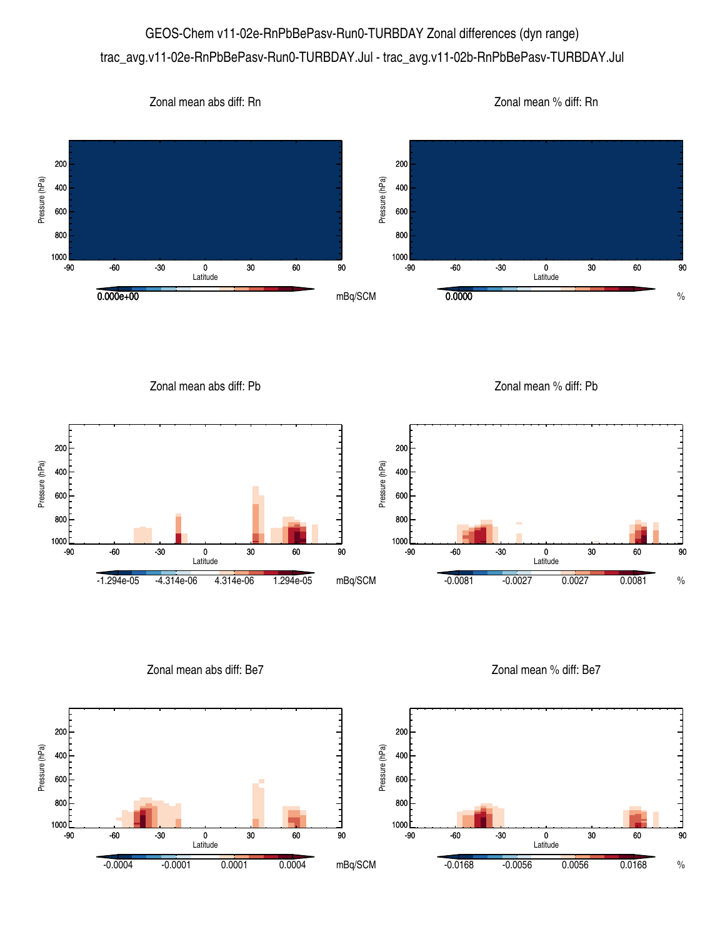## GEOS-Chem v11-02e-RnPbBePasv-Run0-TURBDAY Zonal differences (dyn range) trac\_avg.v11-02e-RnPbBePasv-Run0-TURBDAY.Jul - trac\_avg.v11-02b-RnPbBePasv-TURBDAY.Jul



Zonal mean abs diff: Pb

Zonal mean % diff: Pb



Zonal mean abs diff: Be7

Zonal mean % diff: Be7